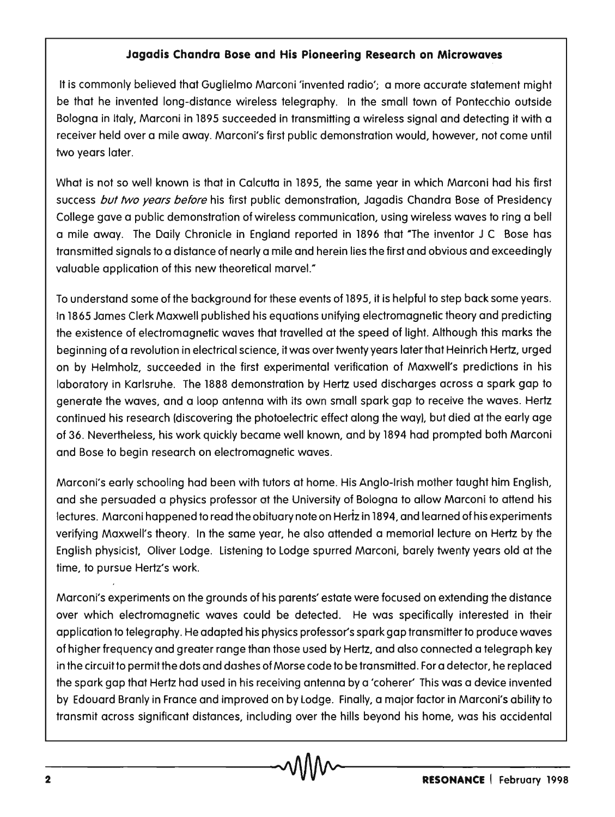## **Jagadis Chandra Bose and His Pioneering Research on Microwaves**

It is commonly believed that Guglielmo Marconi 'invented radio'; a more accurate statement might be that he invented long-distance wireless telegraphy. In the small town of Pontecchio outside Bologna in Italy, Marconi in 1895 succeeded in transmitting a wireless signal and detecting it with a receiver held over a mile away. Marconi's first public demonstration would, however, not come until two years later.

What is not so well known is that in Calcutta in 1895, the same year in which Marconi had his first success but two years before his first public demonstration, Jagadis Chandra Bose of Presidency College gave a public demonstration of wireless communication, using wireless waves to ring a bell a mile away. The Daily Chronicle in England reported in 1896 that "The inventor J C Bose has transmitted signals to a distance of nearly a mile and herein lies the first and obvious and exceedingly valuable application of this new theoretical marveL"

To understand some of the background for these events of 1895, it is helpful to step back some years. In 1865 James Clerk Maxwell published his equations unifying electromagnetic theory and predicting the existence of electromagnetic waves that travelled at the speed of light. Although this marks the beginning of a revolution in electrical science, it was over twenty years later that Heinrich Hertz, urged on by Helmholz, succeeded in the first experimental verification of Maxwell's predictions in his laboratory in Karlsruhe. The 1888 demonstration by Hertz used discharges across a spark gap to generate the waves, and a loop antenna with its own small spark gap to receive the waves. Hertz continued his research (discovering the photoelectric effect along the way), but died at the early age of 36. Nevertheless, his work quickly became well known, and by 1894 had prompted both Marconi and Bose to begin research on electromagnetic waves.

Marconi's early schooling had been with tutors at home. His Anglo-Irish mother taught him English, and she persuaded a physics professor at the University of Bologna to allow Marconi to attend his lectures. Marconi happened to read the obituary note on Hertz in 1894, and learned of his experiments verifying Maxwell's theory. In the same year, he also attended a memorial lecture on Hertz by the English physicist, Oliver lodge. listening to lodge spurred Marconi, barely twenty years old at the time, to pursue Hertz's work.

Marconi's experiments on the grounds of his parents' estate were focused on extending the distance over which electromagnetic waves could be detected. He was specifically interested in their application to telegraphy. He adapted his physics professor's spark gap transmitter to produce waves of higher frequency and greater range than those used by Hertz, and also connected a telegraph key in the circuit to permit the dots and dashes of Morse code to be transmitted. For a detector, he replaced the spark gap that Hertz had used in his receiving antenna by a 'coherer' This was a device invented by Edouard Branly in France and improved on by lodge. Finally, a major factor in Marconi's ability to transmit across significant distances, including over the hills beyond his home, was his accidental  $\sim$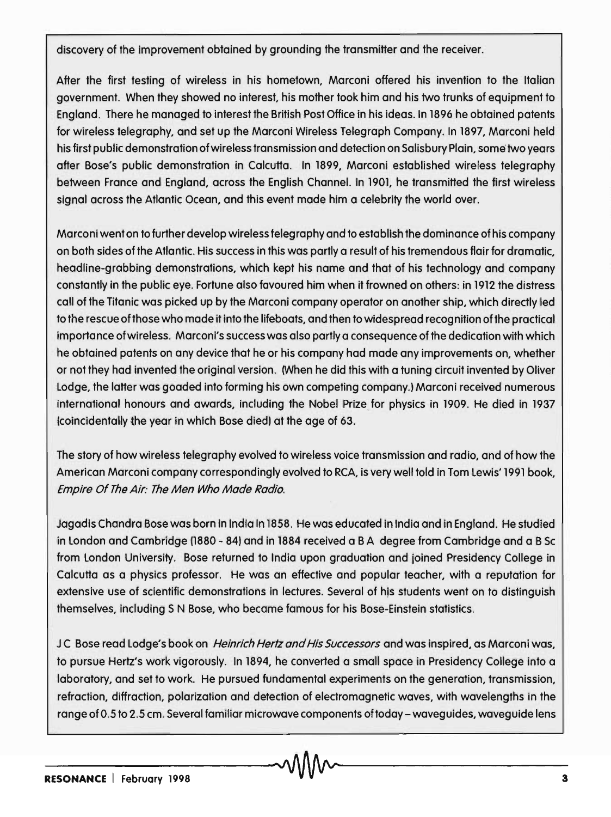discovery of the improvement obtained by grounding the transmitter and the receiver.

After the first testing of wireless in his hometown, Marconi offered his invention to the Italian government. When they showed no interest, his mother took him and his two trunks of equipment to England. There he managed to interest the British Post Office in his ideas. In 1896 he obtained patents for wireless telegraphy, and set up the Marconi Wireless Telegraph Company. In 1897, Marconi held his first public demonstration of wireless transmission and detection on Salisbury Plain, some two years after Bose's public demonstration in Calcutta. In 1899, Marconi established wireless telegraphy between France and England, across the English Channel. In 1901, he transmitted the first wireless signal across the Atlantic Ocean, and this event made him a celebrity the world over.

Marconi went on to further develop wireless telegraphy and to establish the dominance of his company on both sides of the Atlantic. His success in this was partly a result of his tremendous flair for dramatic, headline-grabbing demonstrations, which kept his name and that of his technology and company constantly in the public eye. Fortune also favoured him when it frowned on others: in 1912 the distress call of the Titanic was picked up by the Marconi company operator on another ship, which directly led to the rescue of those who made it into the lifeboats, and then to widespread recognition of the practical importance of wireless. Marconi's success was also partly a consequence of the dedication with which he obtained patents on any device that he or his company had made any improvements on, whether or not they had invented the original version. (When he did this with a tuning circuit invented by Oliver Lodge, the latter was goaded into forming his own competing company.) Marconi received numerous international honours and awards, including the Nobel Prize for physics in 1909. He died in 1937 (coincidentally the year in which Bose died) at the age of 63.

The story of how wireless telegraphy evolved to wireless voice transmission and radio, and of how the American Marconi company correspondingly evolved to RCA, is very well told in Tom Lewis' 1991 book, Empire Of The Air: The Men Who Made Radio.

Jagadis Chandra Bose was born in India in 1858. He was educated in India and in England. He studied in London and Cambridge (1880 - 84) and in 1884 received a B A degree from Cambridge and a B Sc from London University. Bose returned to India upon graduation and joined Presidency College in Calcutta as a physics professor. He was an effective and popular teacher, with a reputation for extensive use of scientific demonstrations in lectures. Several of his students went on to distinguish themselves, including S N Bose, who became famous for his Bose-Einstein statistics.

JC Bose read Lodge's book on Heinrich Hertz and His Successors and was inspired, as Marconi was, to pursue Hertz's work vigorously. In 1894, he converted a small space in Presidency College into a laboratory, and set to work. He pursued fundamental experiments on the generation, transmission, refraction, diffraction, polarization and detection of electromagnetic waves, with wavelengths in the range of 0.5 to 2.5 cm. Several familiar microwave components of today - waveguides, waveguide lens